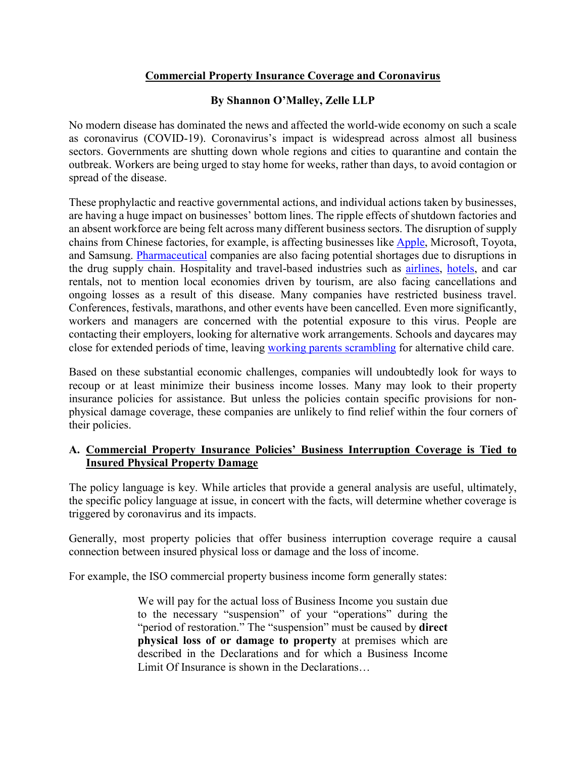# **Commercial Property Insurance Coverage and Coronavirus**

## **By Shannon O'Malley, Zelle LLP**

No modern disease has dominated the news and affected the world-wide economy on such a scale as coronavirus (COVID-19). Coronavirus's impact is widespread across almost all business sectors. Governments are shutting down whole regions and cities to quarantine and contain the outbreak. Workers are being urged to stay home for weeks, rather than days, to avoid contagion or spread of the disease.

These prophylactic and reactive governmental actions, and individual actions taken by businesses, are having a huge impact on businesses' bottom lines. The ripple effects of shutdown factories and an absent workforce are being felt across many different business sectors. The disruption of supply chains from Chinese factories, for example, is affecting businesses like [Apple,](https://www.nytimes.com/2020/02/17/technology/apple-coronavirus-economy.html) Microsoft, Toyota, and Samsung. [Pharmaceutical](https://www.marketplace.org/2020/02/26/prescription-drug-supply-could-be-hit-coronavirus-pandemic/) companies are also facing potential shortages due to disruptions in the drug supply chain. Hospitality and travel-based industries such as [airlines,](https://www.marketwatch.com/story/these-airlines-are-waiving-flight-change-fees-because-of-the-coronavirus-outbreak-2020-03-03) [hotels,](https://www.wsj.com/articles/coronavirus-slams-u-s-hotel-industrys-global-operations-11583236802) and car rentals, not to mention local economies driven by tourism, are also facing cancellations and ongoing losses as a result of this disease. Many companies have restricted business travel. Conferences, festivals, marathons, and other events have been cancelled. Even more significantly, workers and managers are concerned with the potential exposure to this virus. People are contacting their employers, looking for alternative work arrangements. Schools and daycares may close for extended periods of time, leaving [working parents scrambling](https://www.theguardian.com/world/2020/mar/03/the-longest-holiday-parents-coping-with-coronavirus-school-closures-in-east-asia) for alternative child care.

Based on these substantial economic challenges, companies will undoubtedly look for ways to recoup or at least minimize their business income losses. Many may look to their property insurance policies for assistance. But unless the policies contain specific provisions for nonphysical damage coverage, these companies are unlikely to find relief within the four corners of their policies.

## **A. Commercial Property Insurance Policies' Business Interruption Coverage is Tied to Insured Physical Property Damage**

The policy language is key. While articles that provide a general analysis are useful, ultimately, the specific policy language at issue, in concert with the facts, will determine whether coverage is triggered by coronavirus and its impacts.

Generally, most property policies that offer business interruption coverage require a causal connection between insured physical loss or damage and the loss of income.

For example, the ISO commercial property business income form generally states:

We will pay for the actual loss of Business Income you sustain due to the necessary "suspension" of your "operations" during the "period of restoration." The "suspension" must be caused by **direct physical loss of or damage to property** at premises which are described in the Declarations and for which a Business Income Limit Of Insurance is shown in the Declarations…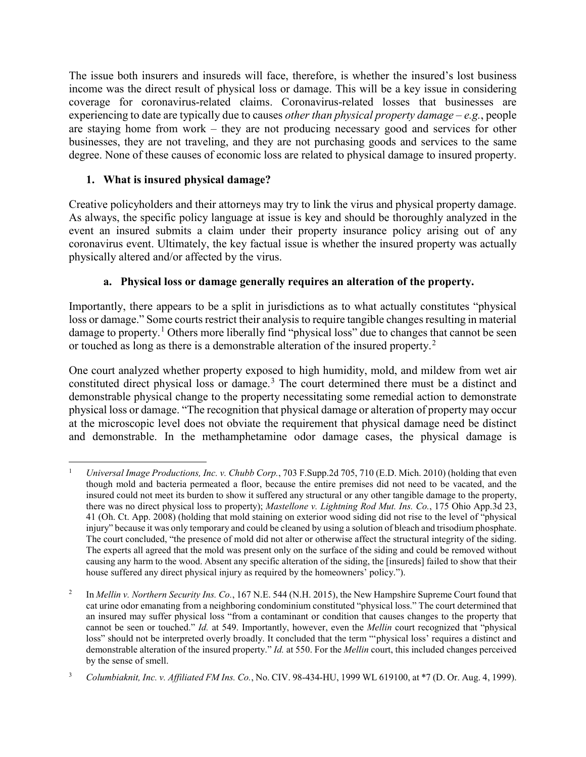The issue both insurers and insureds will face, therefore, is whether the insured's lost business income was the direct result of physical loss or damage. This will be a key issue in considering coverage for coronavirus-related claims. Coronavirus-related losses that businesses are experiencing to date are typically due to causes *other than physical property damage* – *e.g.*, people are staying home from work – they are not producing necessary good and services for other businesses, they are not traveling, and they are not purchasing goods and services to the same degree. None of these causes of economic loss are related to physical damage to insured property.

# **1. What is insured physical damage?**

Creative policyholders and their attorneys may try to link the virus and physical property damage. As always, the specific policy language at issue is key and should be thoroughly analyzed in the event an insured submits a claim under their property insurance policy arising out of any coronavirus event. Ultimately, the key factual issue is whether the insured property was actually physically altered and/or affected by the virus.

# **a. Physical loss or damage generally requires an alteration of the property.**

Importantly, there appears to be a split in jurisdictions as to what actually constitutes "physical loss or damage." Some courts restrict their analysis to require tangible changes resulting in material damage to property.<sup>[1](#page-1-0)</sup> Others more liberally find "physical loss" due to changes that cannot be seen or touched as long as there is a demonstrable alteration of the insured property.<sup>[2](#page-1-1)</sup>

One court analyzed whether property exposed to high humidity, mold, and mildew from wet air constituted direct physical loss or damage.[3](#page-1-2) The court determined there must be a distinct and demonstrable physical change to the property necessitating some remedial action to demonstrate physical loss or damage. "The recognition that physical damage or alteration of property may occur at the microscopic level does not obviate the requirement that physical damage need be distinct and demonstrable. In the methamphetamine odor damage cases, the physical damage is

<span id="page-1-0"></span> <sup>1</sup> *Universal Image Productions, Inc. v. Chubb Corp.*, 703 F.Supp.2d 705, 710 (E.D. Mich. 2010) (holding that even though mold and bacteria permeated a floor, because the entire premises did not need to be vacated, and the insured could not meet its burden to show it suffered any structural or any other tangible damage to the property, there was no direct physical loss to property); *Mastellone v. Lightning Rod Mut. Ins. Co.*, 175 Ohio App.3d 23, 41 (Oh. Ct. App. 2008) (holding that mold staining on exterior wood siding did not rise to the level of "physical injury" because it was only temporary and could be cleaned by using a solution of bleach and trisodium phosphate. The court concluded, "the presence of mold did not alter or otherwise affect the structural integrity of the siding. The experts all agreed that the mold was present only on the surface of the siding and could be removed without causing any harm to the wood. Absent any specific alteration of the siding, the [insureds] failed to show that their house suffered any direct physical injury as required by the homeowners' policy.").

<span id="page-1-1"></span><sup>&</sup>lt;sup>2</sup> In *Mellin v. Northern Security Ins. Co.*, 167 N.E. 544 (N.H. 2015), the New Hampshire Supreme Court found that cat urine odor emanating from a neighboring condominium constituted "physical loss." The court determined that an insured may suffer physical loss "from a contaminant or condition that causes changes to the property that cannot be seen or touched." *Id.* at 549. Importantly, however, even the *Mellin* court recognized that "physical loss" should not be interpreted overly broadly. It concluded that the term "'physical loss' requires a distinct and demonstrable alteration of the insured property." *Id.* at 550. For the *Mellin* court, this included changes perceived by the sense of smell.

<span id="page-1-2"></span><sup>3</sup> *Columbiaknit, Inc. v. Affiliated FM Ins. Co.*, No. CIV. 98-434-HU, 1999 WL 619100, at \*7 (D. Or. Aug. 4, 1999).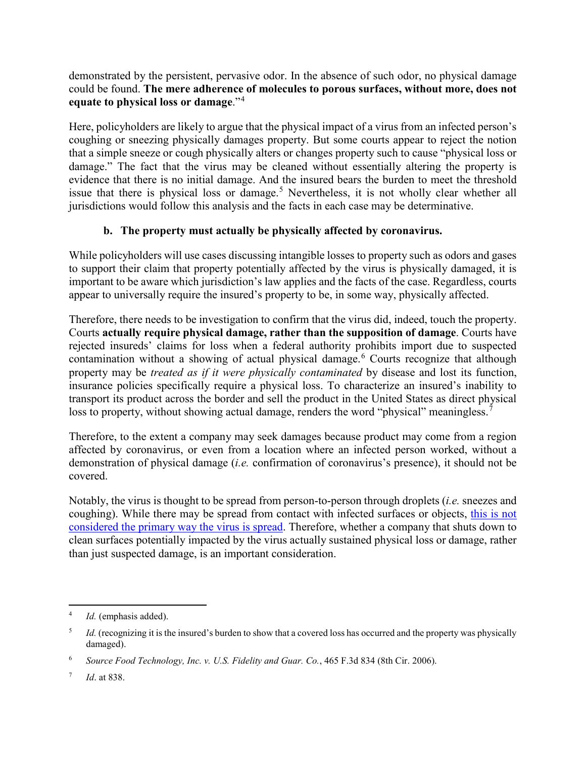demonstrated by the persistent, pervasive odor. In the absence of such odor, no physical damage could be found. **The mere adherence of molecules to porous surfaces, without more, does not equate to physical loss or damage**."[4](#page-2-0)

Here, policyholders are likely to argue that the physical impact of a virus from an infected person's coughing or sneezing physically damages property. But some courts appear to reject the notion that a simple sneeze or cough physically alters or changes property such to cause "physical loss or damage." The fact that the virus may be cleaned without essentially altering the property is evidence that there is no initial damage. And the insured bears the burden to meet the threshold issue that there is physical loss or damage.<sup>[5](#page-2-1)</sup> Nevertheless, it is not wholly clear whether all jurisdictions would follow this analysis and the facts in each case may be determinative.

# **b. The property must actually be physically affected by coronavirus.**

While policyholders will use cases discussing intangible losses to property such as odors and gases to support their claim that property potentially affected by the virus is physically damaged, it is important to be aware which jurisdiction's law applies and the facts of the case. Regardless, courts appear to universally require the insured's property to be, in some way, physically affected.

Therefore, there needs to be investigation to confirm that the virus did, indeed, touch the property. Courts **actually require physical damage, rather than the supposition of damage**. Courts have rejected insureds' claims for loss when a federal authority prohibits import due to suspected contamination without a showing of actual physical damage.<sup>[6](#page-2-2)</sup> Courts recognize that although property may be *treated as if it were physically contaminated* by disease and lost its function, insurance policies specifically require a physical loss. To characterize an insured's inability to transport its product across the border and sell the product in the United States as direct physical loss to property, without showing actual damage, renders the word "physical" meaningless.<sup>[7](#page-2-3)</sup>

Therefore, to the extent a company may seek damages because product may come from a region affected by coronavirus, or even from a location where an infected person worked, without a demonstration of physical damage (*i.e.* confirmation of coronavirus's presence), it should not be covered.

Notably, the virus is thought to be spread from person-to-person through droplets (*i.e.* sneezes and coughing). While there may be spread from contact with infected surfaces or objects, this [is not](https://www.cdc.gov/coronavirus/2019-ncov/about/transmission.html)  considered the primary [way the virus is spread.](https://www.cdc.gov/coronavirus/2019-ncov/about/transmission.html) Therefore, whether a company that shuts down to clean surfaces potentially impacted by the virus actually sustained physical loss or damage, rather than just suspected damage, is an important consideration.

<span id="page-2-0"></span>*Id.* (emphasis added).

<span id="page-2-1"></span><sup>&</sup>lt;sup>5</sup> *Id.* (recognizing it is the insured's burden to show that a covered loss has occurred and the property was physically damaged).

<span id="page-2-2"></span><sup>6</sup> *Source Food Technology, Inc. v. U.S. Fidelity and Guar. Co.*, 465 F.3d 834 (8th Cir. 2006).

<span id="page-2-3"></span><sup>7</sup> *Id*. at 838.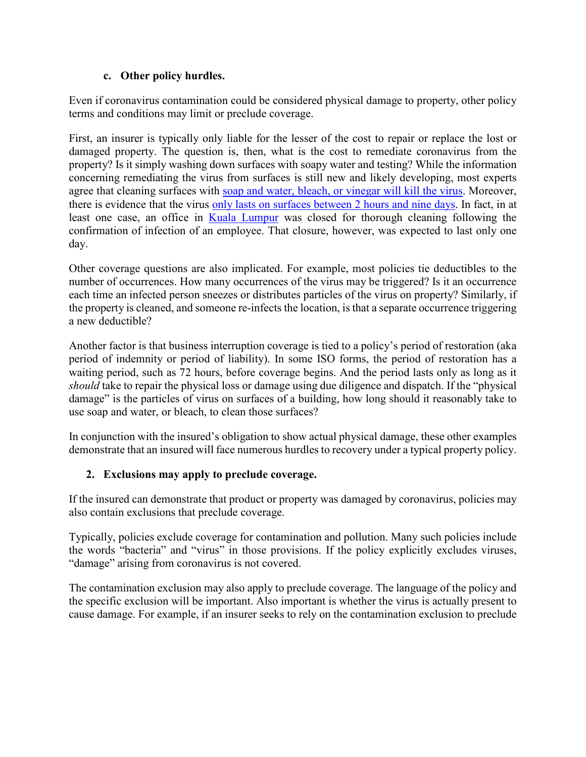## **c. Other policy hurdles.**

Even if coronavirus contamination could be considered physical damage to property, other policy terms and conditions may limit or preclude coverage.

First, an insurer is typically only liable for the lesser of the cost to repair or replace the lost or damaged property. The question is, then, what is the cost to remediate coronavirus from the property? Is it simply washing down surfaces with soapy water and testing? While the information concerning remediating the virus from surfaces is still new and likely developing, most experts agree that cleaning surfaces with [soap and water, bleach, or vinegar will kill the virus.](https://time.com/5792362/cleaning-products-coronavirus/) Moreover, there is evidence that the virus [only lasts on surfaces between 2 hours and nine days.](https://www.businessinsider.com/bleach-kill-prevent-coronavirus-possible-pandemic-infection-between-people-2020-2) In fact, in at least one case, an office in [Kuala Lumpur](https://www.nst.com.my/news/nation/2020/03/571052/khazanahs-office-undergoing-clean-over-covid-19) was closed for thorough cleaning following the confirmation of infection of an employee. That closure, however, was expected to last only one day.

Other coverage questions are also implicated. For example, most policies tie deductibles to the number of occurrences. How many occurrences of the virus may be triggered? Is it an occurrence each time an infected person sneezes or distributes particles of the virus on property? Similarly, if the property is cleaned, and someone re-infects the location, is that a separate occurrence triggering a new deductible?

Another factor is that business interruption coverage is tied to a policy's period of restoration (aka period of indemnity or period of liability). In some ISO forms, the period of restoration has a waiting period, such as 72 hours, before coverage begins. And the period lasts only as long as it *should* take to repair the physical loss or damage using due diligence and dispatch. If the "physical damage" is the particles of virus on surfaces of a building, how long should it reasonably take to use soap and water, or bleach, to clean those surfaces?

In conjunction with the insured's obligation to show actual physical damage, these other examples demonstrate that an insured will face numerous hurdles to recovery under a typical property policy.

# **2. Exclusions may apply to preclude coverage.**

If the insured can demonstrate that product or property was damaged by coronavirus, policies may also contain exclusions that preclude coverage.

Typically, policies exclude coverage for contamination and pollution. Many such policies include the words "bacteria" and "virus" in those provisions. If the policy explicitly excludes viruses, "damage" arising from coronavirus is not covered.

The contamination exclusion may also apply to preclude coverage. The language of the policy and the specific exclusion will be important. Also important is whether the virus is actually present to cause damage. For example, if an insurer seeks to rely on the contamination exclusion to preclude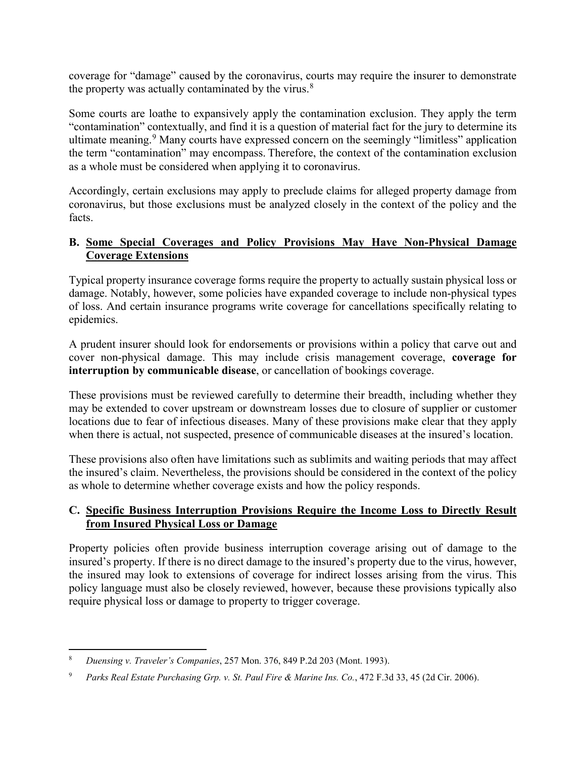coverage for "damage" caused by the coronavirus, courts may require the insurer to demonstrate the property was actually contaminated by the virus. $8$ 

Some courts are loathe to expansively apply the contamination exclusion. They apply the term "contamination" contextually, and find it is a question of material fact for the jury to determine its ultimate meaning.<sup>[9](#page-4-1)</sup> Many courts have expressed concern on the seemingly "limitless" application the term "contamination" may encompass. Therefore, the context of the contamination exclusion as a whole must be considered when applying it to coronavirus.

Accordingly, certain exclusions may apply to preclude claims for alleged property damage from coronavirus, but those exclusions must be analyzed closely in the context of the policy and the facts.

#### **B. Some Special Coverages and Policy Provisions May Have Non-Physical Damage Coverage Extensions**

Typical property insurance coverage forms require the property to actually sustain physical loss or damage. Notably, however, some policies have expanded coverage to include non-physical types of loss. And certain insurance programs write coverage for cancellations specifically relating to epidemics.

A prudent insurer should look for endorsements or provisions within a policy that carve out and cover non-physical damage. This may include crisis management coverage, **coverage for interruption by communicable disease**, or cancellation of bookings coverage.

These provisions must be reviewed carefully to determine their breadth, including whether they may be extended to cover upstream or downstream losses due to closure of supplier or customer locations due to fear of infectious diseases. Many of these provisions make clear that they apply when there is actual, not suspected, presence of communicable diseases at the insured's location.

These provisions also often have limitations such as sublimits and waiting periods that may affect the insured's claim. Nevertheless, the provisions should be considered in the context of the policy as whole to determine whether coverage exists and how the policy responds.

## **C. Specific Business Interruption Provisions Require the Income Loss to Directly Result from Insured Physical Loss or Damage**

Property policies often provide business interruption coverage arising out of damage to the insured's property. If there is no direct damage to the insured's property due to the virus, however, the insured may look to extensions of coverage for indirect losses arising from the virus. This policy language must also be closely reviewed, however, because these provisions typically also require physical loss or damage to property to trigger coverage.

<span id="page-4-0"></span> <sup>8</sup> *Duensing v. Traveler's Companies*, 257 Mon. 376, 849 P.2d 203 (Mont. 1993).

<span id="page-4-1"></span><sup>9</sup> *Parks Real Estate Purchasing Grp. v. St. Paul Fire & Marine Ins. Co.*, 472 F.3d 33, 45 (2d Cir. 2006).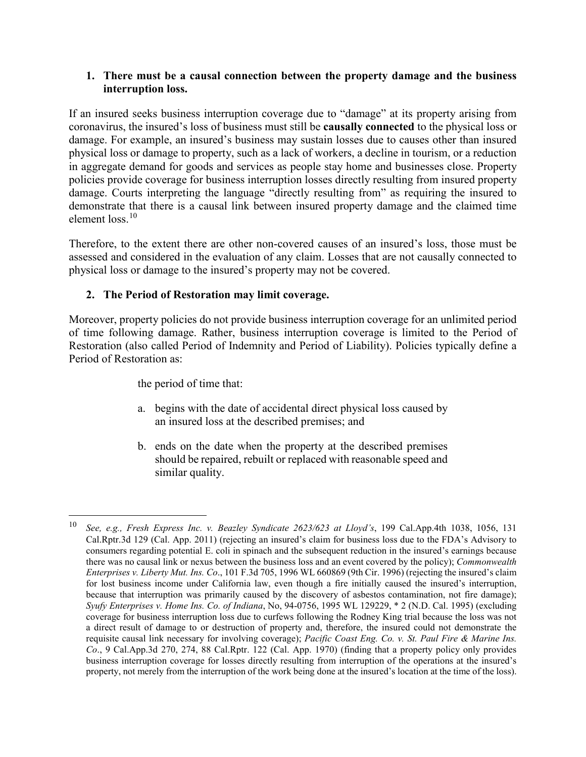#### **1. There must be a causal connection between the property damage and the business interruption loss.**

If an insured seeks business interruption coverage due to "damage" at its property arising from coronavirus, the insured's loss of business must still be **causally connected** to the physical loss or damage. For example, an insured's business may sustain losses due to causes other than insured physical loss or damage to property, such as a lack of workers, a decline in tourism, or a reduction in aggregate demand for goods and services as people stay home and businesses close. Property policies provide coverage for business interruption losses directly resulting from insured property damage. Courts interpreting the language "directly resulting from" as requiring the insured to demonstrate that there is a causal link between insured property damage and the claimed time element loss.[10](#page-5-0)

Therefore, to the extent there are other non-covered causes of an insured's loss, those must be assessed and considered in the evaluation of any claim. Losses that are not causally connected to physical loss or damage to the insured's property may not be covered.

## **2. The Period of Restoration may limit coverage.**

Moreover, property policies do not provide business interruption coverage for an unlimited period of time following damage. Rather, business interruption coverage is limited to the Period of Restoration (also called Period of Indemnity and Period of Liability). Policies typically define a Period of Restoration as:

the period of time that:

- a. begins with the date of accidental direct physical loss caused by an insured loss at the described premises; and
- b. ends on the date when the property at the described premises should be repaired, rebuilt or replaced with reasonable speed and similar quality.

<span id="page-5-0"></span> <sup>10</sup> *See, e.g., Fresh Express Inc. v. Beazley Syndicate 2623/623 at Lloyd's*, 199 Cal.App.4th 1038, 1056, 131 Cal.Rptr.3d 129 (Cal. App. 2011) (rejecting an insured's claim for business loss due to the FDA's Advisory to consumers regarding potential E. coli in spinach and the subsequent reduction in the insured's earnings because there was no causal link or nexus between the business loss and an event covered by the policy); *Commonwealth Enterprises v. Liberty Mut. Ins. Co*., 101 F.3d 705, 1996 WL 660869 (9th Cir. 1996) (rejecting the insured's claim for lost business income under California law, even though a fire initially caused the insured's interruption, because that interruption was primarily caused by the discovery of asbestos contamination, not fire damage); *Syufy Enterprises v. Home Ins. Co. of Indiana*, No, 94-0756, 1995 WL 129229, \* 2 (N.D. Cal. 1995) (excluding coverage for business interruption loss due to curfews following the Rodney King trial because the loss was not a direct result of damage to or destruction of property and, therefore, the insured could not demonstrate the requisite causal link necessary for involving coverage); *Pacific Coast Eng. Co. v. St. Paul Fire & Marine Ins. Co*., 9 Cal.App.3d 270, 274, 88 Cal.Rptr. 122 (Cal. App. 1970) (finding that a property policy only provides business interruption coverage for losses directly resulting from interruption of the operations at the insured's property, not merely from the interruption of the work being done at the insured's location at the time of the loss).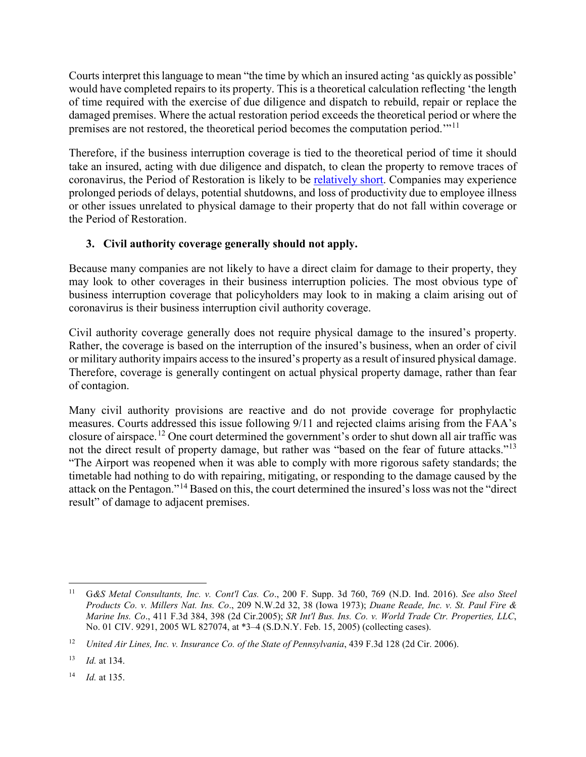Courts interpret this language to mean "the time by which an insured acting 'as quickly as possible' would have completed repairs to its property. This is a theoretical calculation reflecting 'the length of time required with the exercise of due diligence and dispatch to rebuild, repair or replace the damaged premises. Where the actual restoration period exceeds the theoretical period or where the premises are not restored, the theoretical period becomes the computation period.'"[11](#page-6-0)

Therefore, if the business interruption coverage is tied to the theoretical period of time it should take an insured, acting with due diligence and dispatch, to clean the property to remove traces of coronavirus, the Period of Restoration is likely to be [relatively short.](https://www.yahoo.com/news/surfaces-sneezes-sex-coronavirus-cannot-132505758.html) Companies may experience prolonged periods of delays, potential shutdowns, and loss of productivity due to employee illness or other issues unrelated to physical damage to their property that do not fall within coverage or the Period of Restoration.

# **3. Civil authority coverage generally should not apply.**

Because many companies are not likely to have a direct claim for damage to their property, they may look to other coverages in their business interruption policies. The most obvious type of business interruption coverage that policyholders may look to in making a claim arising out of coronavirus is their business interruption civil authority coverage.

Civil authority coverage generally does not require physical damage to the insured's property. Rather, the coverage is based on the interruption of the insured's business, when an order of civil or military authority impairs access to the insured's property as a result of insured physical damage. Therefore, coverage is generally contingent on actual physical property damage, rather than fear of contagion.

Many civil authority provisions are reactive and do not provide coverage for prophylactic measures. Courts addressed this issue following 9/11 and rejected claims arising from the FAA's closure of airspace.[12](#page-6-1) One court determined the government's order to shut down all air traffic was not the direct result of property damage, but rather was "based on the fear of future attacks."<sup>[13](#page-6-2)</sup> "The Airport was reopened when it was able to comply with more rigorous safety standards; the timetable had nothing to do with repairing, mitigating, or responding to the damage caused by the attack on the Pentagon."[14](#page-6-3) Based on this, the court determined the insured's loss was not the "direct result" of damage to adjacent premises.

<span id="page-6-3"></span><sup>14</sup> *Id.* at 135.

<span id="page-6-0"></span> <sup>11</sup> <sup>G</sup>*&S Metal Consultants, Inc. v. Cont'l Cas. Co*., 200 F. Supp. 3d 760, 769 (N.D. Ind. 2016). *See also Steel Products Co. v. Millers Nat. Ins. Co*., 209 N.W.2d 32, 38 (Iowa 1973); *Duane Reade, Inc. v. St. Paul Fire & Marine Ins. Co*., 411 F.3d 384, 398 (2d Cir.2005); *SR Int'l Bus. Ins. Co. v. World Trade Ctr. Properties, LLC*, No. 01 CIV. 9291, 2005 WL 827074, at \*3–4 (S.D.N.Y. Feb. 15, 2005) (collecting cases).

<span id="page-6-1"></span><sup>&</sup>lt;sup>12</sup> *United Air Lines, Inc. v. Insurance Co. of the State of Pennsylvania*, 439 F.3d 128 (2d Cir. 2006).

<span id="page-6-2"></span><sup>13</sup> *Id.* at 134.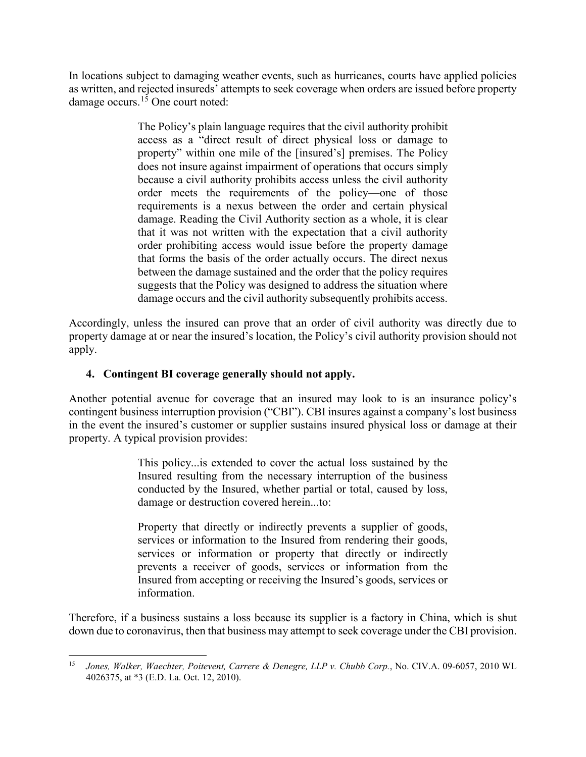In locations subject to damaging weather events, such as hurricanes, courts have applied policies as written, and rejected insureds' attempts to seek coverage when orders are issued before property damage occurs.<sup>[15](#page-7-0)</sup> One court noted:

> The Policy's plain language requires that the civil authority prohibit access as a "direct result of direct physical loss or damage to property" within one mile of the [insured's] premises. The Policy does not insure against impairment of operations that occurs simply because a civil authority prohibits access unless the civil authority order meets the requirements of the policy—one of those requirements is a nexus between the order and certain physical damage. Reading the Civil Authority section as a whole, it is clear that it was not written with the expectation that a civil authority order prohibiting access would issue before the property damage that forms the basis of the order actually occurs. The direct nexus between the damage sustained and the order that the policy requires suggests that the Policy was designed to address the situation where damage occurs and the civil authority subsequently prohibits access.

Accordingly, unless the insured can prove that an order of civil authority was directly due to property damage at or near the insured's location, the Policy's civil authority provision should not apply.

## **4. Contingent BI coverage generally should not apply.**

Another potential avenue for coverage that an insured may look to is an insurance policy's contingent business interruption provision ("CBI"). CBI insures against a company's lost business in the event the insured's customer or supplier sustains insured physical loss or damage at their property. A typical provision provides:

> This policy...is extended to cover the actual loss sustained by the Insured resulting from the necessary interruption of the business conducted by the Insured, whether partial or total, caused by loss, damage or destruction covered herein...to:

> Property that directly or indirectly prevents a supplier of goods, services or information to the Insured from rendering their goods, services or information or property that directly or indirectly prevents a receiver of goods, services or information from the Insured from accepting or receiving the Insured's goods, services or information.

Therefore, if a business sustains a loss because its supplier is a factory in China, which is shut down due to coronavirus, then that business may attempt to seek coverage under the CBI provision.

<span id="page-7-0"></span> <sup>15</sup> *Jones, Walker, Waechter, Poitevent, Carrere & Denegre, LLP v. Chubb Corp.*, No. CIV.A. 09-6057, 2010 WL 4026375, at \*3 (E.D. La. Oct. 12, 2010).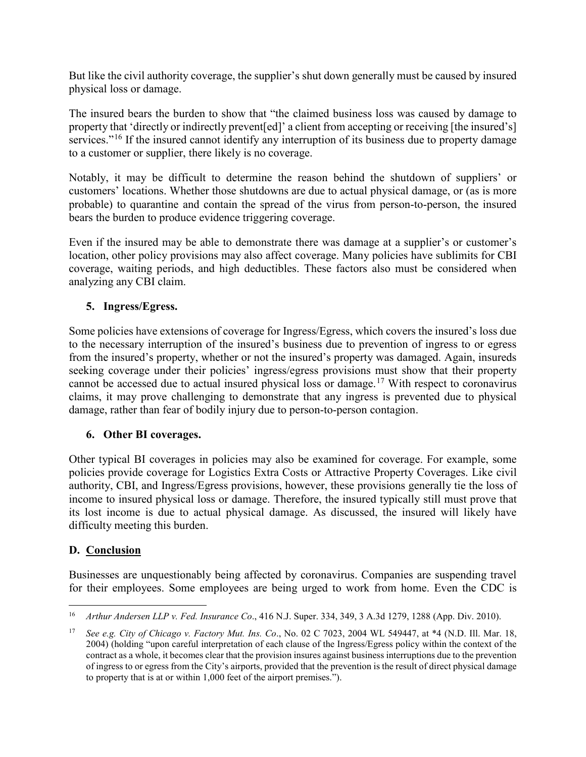But like the civil authority coverage, the supplier's shut down generally must be caused by insured physical loss or damage.

The insured bears the burden to show that "the claimed business loss was caused by damage to property that 'directly or indirectly prevent[ed]' a client from accepting or receiving [the insured's] services."<sup>[16](#page-8-0)</sup> If the insured cannot identify any interruption of its business due to property damage to a customer or supplier, there likely is no coverage.

Notably, it may be difficult to determine the reason behind the shutdown of suppliers' or customers' locations. Whether those shutdowns are due to actual physical damage, or (as is more probable) to quarantine and contain the spread of the virus from person-to-person, the insured bears the burden to produce evidence triggering coverage.

Even if the insured may be able to demonstrate there was damage at a supplier's or customer's location, other policy provisions may also affect coverage. Many policies have sublimits for CBI coverage, waiting periods, and high deductibles. These factors also must be considered when analyzing any CBI claim.

## **5. Ingress/Egress.**

Some policies have extensions of coverage for Ingress/Egress, which covers the insured's loss due to the necessary interruption of the insured's business due to prevention of ingress to or egress from the insured's property, whether or not the insured's property was damaged. Again, insureds seeking coverage under their policies' ingress/egress provisions must show that their property cannot be accessed due to actual insured physical loss or damage.[17](#page-8-1) With respect to coronavirus claims, it may prove challenging to demonstrate that any ingress is prevented due to physical damage, rather than fear of bodily injury due to person-to-person contagion.

## **6. Other BI coverages.**

Other typical BI coverages in policies may also be examined for coverage. For example, some policies provide coverage for Logistics Extra Costs or Attractive Property Coverages. Like civil authority, CBI, and Ingress/Egress provisions, however, these provisions generally tie the loss of income to insured physical loss or damage. Therefore, the insured typically still must prove that its lost income is due to actual physical damage. As discussed, the insured will likely have difficulty meeting this burden.

## **D. Conclusion**

Businesses are unquestionably being affected by coronavirus. Companies are suspending travel for their employees. Some employees are being urged to work from home. Even the CDC is

<span id="page-8-0"></span> <sup>16</sup> *Arthur Andersen LLP v. Fed. Insurance Co*., 416 N.J. Super. 334, 349, 3 A.3d 1279, 1288 (App. Div. 2010).

<span id="page-8-1"></span><sup>17</sup> *See e.g. City of Chicago v. Factory Mut. Ins. Co*., No. 02 C 7023, 2004 WL 549447, at \*4 (N.D. Ill. Mar. 18, 2004) (holding "upon careful interpretation of each clause of the Ingress/Egress policy within the context of the contract as a whole, it becomes clear that the provision insures against business interruptions due to the prevention of ingress to or egress from the City's airports, provided that the prevention is the result of direct physical damage to property that is at or within 1,000 feet of the airport premises.").